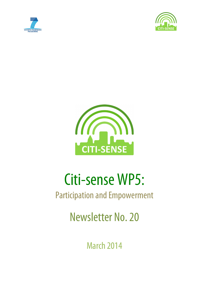





# Citi-sense WP5:

# Participation and Empowerment

Newsletter No. 20

March 2014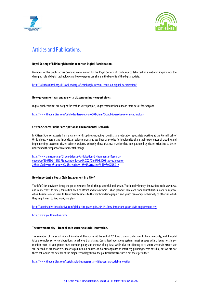



## Articles and Publications.

#### **Royal Society of Edinburgh interim report on Digital Participation.**

Members of the public across Scotland were invited by the Royal Society of Edinburgh to take part in a national inquiry into the changing role of digital technology and how everyone can share in the benefits of the digital society.

http://talkaboutlocal.org.uk/royal-society-of-edinburgh-interim-report-on-digital-participation/

#### **How government can engage with citizens online – expert views.**

Digital public services are not just for 'techno wizzy people', so government should make them easier for everyone.

http://www.theguardian.com/public-leaders-network/2014/mar/04/public-service-reform-technology

#### **Citizen Science: Public Participation in Environmental Research.**

In Citizen Science, experts from a variety of disciplines-including scientists and education specialists working at the Cornell Lab of Ornithology, where many large citizen science programs use birds as proxies for biodiversity-share their experiences of creating and implementing successful citizen science projects, primarily those that use massive data sets gathered by citizen scientists to better understand the impact of environmental change.

http://www.amazon.co.jp/Citizen-Science-Participation-Environmental-Researchebook/dp/B007NK5I16%3FSubscriptionId=AKIAIXQ27QI66FIXR3CQ&tag=saleebook-22&linkCode=xm2&camp=2025&creative=165953&creativeASIN=B007NK5I16

#### **How Important is Youth Civic Engagement in a City?**

YouthfulCities envisions being the go-to resource for all things youthful and urban. Youth add vibrancy, innovation, tech-savviness, and connectness to cities, thus cities need to attract and retain them. Urban planners can learn from YouthfulCities' data to improve cities; businesses can learn to tailor their business to the youthful demographic; and youth can compare their city to others in which they might want to live, work, and play.

http://sustainablecitiescollective.com/global-site-plans-grid/234461/how-important-youth-civic-engagement-city

http://www.youthfulcities.com/

#### **The new smart city – from hi-tech sensors to social innovation.**

The evolution of the smart city will involve all the above. At the end of 2013, no city can truly claim to be a smart city, and it would take a complex set of collaborations to achieve that status. Centralised operations systems must engage with citizens not simply monitor them; citizen groups must question policy and the use of big data, while also contributing to it; smart sensors in streets are still needed, as are those we choose to put into out houses. An holistic approach to smart city planning seems possible, but we are not there yet. And in the defence of the major technology firms, the political infrastructure is not there yet either.

http://www.theguardian.com/sustainable-business/smart-cities-sensors-social-innovation